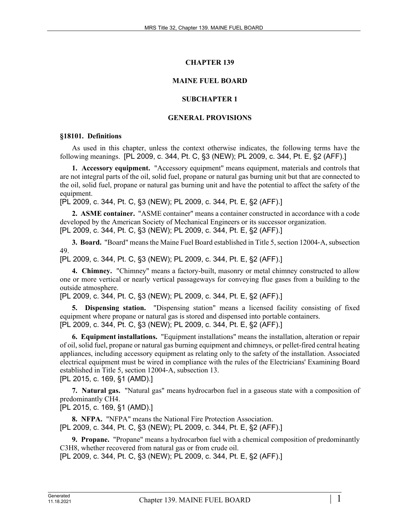#### **CHAPTER 139**

#### **MAINE FUEL BOARD**

#### **SUBCHAPTER 1**

#### **GENERAL PROVISIONS**

#### **§18101. Definitions**

As used in this chapter, unless the context otherwise indicates, the following terms have the following meanings. [PL 2009, c. 344, Pt. C, §3 (NEW); PL 2009, c. 344, Pt. E, §2 (AFF).]

**1. Accessory equipment.** "Accessory equipment" means equipment, materials and controls that are not integral parts of the oil, solid fuel, propane or natural gas burning unit but that are connected to the oil, solid fuel, propane or natural gas burning unit and have the potential to affect the safety of the equipment.

[PL 2009, c. 344, Pt. C, §3 (NEW); PL 2009, c. 344, Pt. E, §2 (AFF).]

**2. ASME container.** "ASME container" means a container constructed in accordance with a code developed by the American Society of Mechanical Engineers or its successor organization. [PL 2009, c. 344, Pt. C, §3 (NEW); PL 2009, c. 344, Pt. E, §2 (AFF).]

**3. Board.** "Board" means the Maine Fuel Board established in Title 5, section 12004‑A, subsection 49.

[PL 2009, c. 344, Pt. C, §3 (NEW); PL 2009, c. 344, Pt. E, §2 (AFF).]

**4. Chimney.** "Chimney" means a factory-built, masonry or metal chimney constructed to allow one or more vertical or nearly vertical passageways for conveying flue gases from a building to the outside atmosphere.

[PL 2009, c. 344, Pt. C, §3 (NEW); PL 2009, c. 344, Pt. E, §2 (AFF).]

**5. Dispensing station.** "Dispensing station" means a licensed facility consisting of fixed equipment where propane or natural gas is stored and dispensed into portable containers. [PL 2009, c. 344, Pt. C, §3 (NEW); PL 2009, c. 344, Pt. E, §2 (AFF).]

**6. Equipment installations.** "Equipment installations" means the installation, alteration or repair of oil, solid fuel, propane or natural gas burning equipment and chimneys, or pellet-fired central heating appliances, including accessory equipment as relating only to the safety of the installation. Associated electrical equipment must be wired in compliance with the rules of the Electricians' Examining Board established in Title 5, section 12004‑A, subsection 13. [PL 2015, c. 169, §1 (AMD).]

**7. Natural gas.** "Natural gas" means hydrocarbon fuel in a gaseous state with a composition of predominantly CH4.

[PL 2015, c. 169, §1 (AMD).]

**8. NFPA.** "NFPA" means the National Fire Protection Association. [PL 2009, c. 344, Pt. C, §3 (NEW); PL 2009, c. 344, Pt. E, §2 (AFF).]

**9. Propane.** "Propane" means a hydrocarbon fuel with a chemical composition of predominantly C3H8, whether recovered from natural gas or from crude oil.

[PL 2009, c. 344, Pt. C, §3 (NEW); PL 2009, c. 344, Pt. E, §2 (AFF).]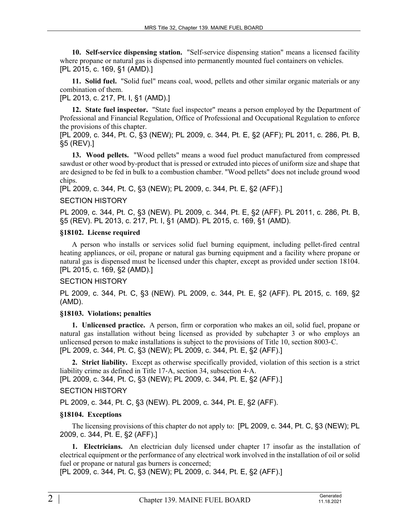**10. Self-service dispensing station.** "Self-service dispensing station" means a licensed facility where propane or natural gas is dispensed into permanently mounted fuel containers on vehicles. [PL 2015, c. 169, §1 (AMD).]

**11. Solid fuel.** "Solid fuel" means coal, wood, pellets and other similar organic materials or any combination of them.

[PL 2013, c. 217, Pt. I, §1 (AMD).]

**12. State fuel inspector.** "State fuel inspector" means a person employed by the Department of Professional and Financial Regulation, Office of Professional and Occupational Regulation to enforce the provisions of this chapter.

[PL 2009, c. 344, Pt. C, §3 (NEW); PL 2009, c. 344, Pt. E, §2 (AFF); PL 2011, c. 286, Pt. B, §5 (REV).]

**13. Wood pellets.** "Wood pellets" means a wood fuel product manufactured from compressed sawdust or other wood by-product that is pressed or extruded into pieces of uniform size and shape that are designed to be fed in bulk to a combustion chamber. "Wood pellets" does not include ground wood chips.

[PL 2009, c. 344, Pt. C, §3 (NEW); PL 2009, c. 344, Pt. E, §2 (AFF).]

## SECTION HISTORY

PL 2009, c. 344, Pt. C, §3 (NEW). PL 2009, c. 344, Pt. E, §2 (AFF). PL 2011, c. 286, Pt. B, §5 (REV). PL 2013, c. 217, Pt. I, §1 (AMD). PL 2015, c. 169, §1 (AMD).

## **§18102. License required**

A person who installs or services solid fuel burning equipment, including pellet-fired central heating appliances, or oil, propane or natural gas burning equipment and a facility where propane or natural gas is dispensed must be licensed under this chapter, except as provided under section 18104. [PL 2015, c. 169, §2 (AMD).]

#### SECTION HISTORY

PL 2009, c. 344, Pt. C, §3 (NEW). PL 2009, c. 344, Pt. E, §2 (AFF). PL 2015, c. 169, §2 (AMD).

#### **§18103. Violations; penalties**

**1. Unlicensed practice.** A person, firm or corporation who makes an oil, solid fuel, propane or natural gas installation without being licensed as provided by subchapter 3 or who employs an unlicensed person to make installations is subject to the provisions of Title 10, section 8003‑C. [PL 2009, c. 344, Pt. C, §3 (NEW); PL 2009, c. 344, Pt. E, §2 (AFF).]

**2. Strict liability.** Except as otherwise specifically provided, violation of this section is a strict liability crime as defined in Title 17‑A, section 34, subsection 4‑A.

[PL 2009, c. 344, Pt. C, §3 (NEW); PL 2009, c. 344, Pt. E, §2 (AFF).]

# SECTION HISTORY

PL 2009, c. 344, Pt. C, §3 (NEW). PL 2009, c. 344, Pt. E, §2 (AFF).

#### **§18104. Exceptions**

The licensing provisions of this chapter do not apply to: [PL 2009, c. 344, Pt. C, §3 (NEW); PL 2009, c. 344, Pt. E, §2 (AFF).]

**1. Electricians.** An electrician duly licensed under chapter 17 insofar as the installation of electrical equipment or the performance of any electrical work involved in the installation of oil or solid fuel or propane or natural gas burners is concerned;

[PL 2009, c. 344, Pt. C, §3 (NEW); PL 2009, c. 344, Pt. E, §2 (AFF).]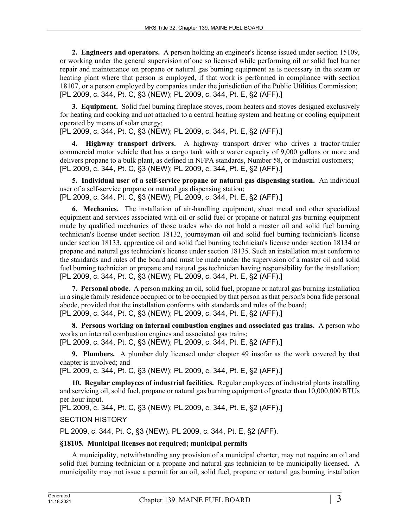**2. Engineers and operators.** A person holding an engineer's license issued under section 15109, or working under the general supervision of one so licensed while performing oil or solid fuel burner repair and maintenance on propane or natural gas burning equipment as is necessary in the steam or heating plant where that person is employed, if that work is performed in compliance with section 18107, or a person employed by companies under the jurisdiction of the Public Utilities Commission; [PL 2009, c. 344, Pt. C, §3 (NEW); PL 2009, c. 344, Pt. E, §2 (AFF).]

**3. Equipment.** Solid fuel burning fireplace stoves, room heaters and stoves designed exclusively for heating and cooking and not attached to a central heating system and heating or cooling equipment operated by means of solar energy;

[PL 2009, c. 344, Pt. C, §3 (NEW); PL 2009, c. 344, Pt. E, §2 (AFF).]

**4. Highway transport drivers.** A highway transport driver who drives a tractor-trailer commercial motor vehicle that has a cargo tank with a water capacity of 9,000 gallons or more and delivers propane to a bulk plant, as defined in NFPA standards, Number 58, or industrial customers; [PL 2009, c. 344, Pt. C, §3 (NEW); PL 2009, c. 344, Pt. E, §2 (AFF).]

**5. Individual user of a self-service propane or natural gas dispensing station.** An individual user of a self-service propane or natural gas dispensing station; [PL 2009, c. 344, Pt. C, §3 (NEW); PL 2009, c. 344, Pt. E, §2 (AFF).]

**6. Mechanics.** The installation of air-handling equipment, sheet metal and other specialized equipment and services associated with oil or solid fuel or propane or natural gas burning equipment made by qualified mechanics of those trades who do not hold a master oil and solid fuel burning technician's license under section 18132, journeyman oil and solid fuel burning technician's license under section 18133, apprentice oil and solid fuel burning technician's license under section 18134 or propane and natural gas technician's license under section 18135. Such an installation must conform to the standards and rules of the board and must be made under the supervision of a master oil and solid fuel burning technician or propane and natural gas technician having responsibility for the installation; [PL 2009, c. 344, Pt. C, §3 (NEW); PL 2009, c. 344, Pt. E, §2 (AFF).]

**7. Personal abode.** A person making an oil, solid fuel, propane or natural gas burning installation in a single family residence occupied or to be occupied by that person as that person's bona fide personal abode, provided that the installation conforms with standards and rules of the board; [PL 2009, c. 344, Pt. C, §3 (NEW); PL 2009, c. 344, Pt. E, §2 (AFF).]

**8. Persons working on internal combustion engines and associated gas trains.** A person who works on internal combustion engines and associated gas trains; [PL 2009, c. 344, Pt. C, §3 (NEW); PL 2009, c. 344, Pt. E, §2 (AFF).]

**9. Plumbers.** A plumber duly licensed under chapter 49 insofar as the work covered by that chapter is involved; and

[PL 2009, c. 344, Pt. C, §3 (NEW); PL 2009, c. 344, Pt. E, §2 (AFF).]

**10. Regular employees of industrial facilities.** Regular employees of industrial plants installing and servicing oil, solid fuel, propane or natural gas burning equipment of greater than 10,000,000 BTUs per hour input.

[PL 2009, c. 344, Pt. C, §3 (NEW); PL 2009, c. 344, Pt. E, §2 (AFF).]

SECTION HISTORY

PL 2009, c. 344, Pt. C, §3 (NEW). PL 2009, c. 344, Pt. E, §2 (AFF).

# **§18105. Municipal licenses not required; municipal permits**

A municipality, notwithstanding any provision of a municipal charter, may not require an oil and solid fuel burning technician or a propane and natural gas technician to be municipally licensed. A municipality may not issue a permit for an oil, solid fuel, propane or natural gas burning installation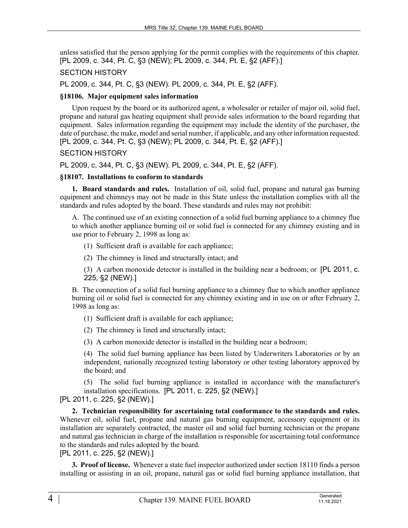unless satisfied that the person applying for the permit complies with the requirements of this chapter. [PL 2009, c. 344, Pt. C, §3 (NEW); PL 2009, c. 344, Pt. E, §2 (AFF).]

## SECTION HISTORY

PL 2009, c. 344, Pt. C, §3 (NEW). PL 2009, c. 344, Pt. E, §2 (AFF).

## **§18106. Major equipment sales information**

Upon request by the board or its authorized agent, a wholesaler or retailer of major oil, solid fuel, propane and natural gas heating equipment shall provide sales information to the board regarding that equipment. Sales information regarding the equipment may include the identity of the purchaser, the date of purchase, the make, model and serial number, if applicable, and any other information requested. [PL 2009, c. 344, Pt. C, §3 (NEW); PL 2009, c. 344, Pt. E, §2 (AFF).]

## SECTION HISTORY

PL 2009, c. 344, Pt. C, §3 (NEW). PL 2009, c. 344, Pt. E, §2 (AFF).

## **§18107. Installations to conform to standards**

**1. Board standards and rules.** Installation of oil, solid fuel, propane and natural gas burning equipment and chimneys may not be made in this State unless the installation complies with all the standards and rules adopted by the board. These standards and rules may not prohibit:

A. The continued use of an existing connection of a solid fuel burning appliance to a chimney flue to which another appliance burning oil or solid fuel is connected for any chimney existing and in use prior to February 2, 1998 as long as:

(1) Sufficient draft is available for each appliance;

(2) The chimney is lined and structurally intact; and

(3) A carbon monoxide detector is installed in the building near a bedroom; or [PL 2011, c. 225, §2 (NEW).]

B. The connection of a solid fuel burning appliance to a chimney flue to which another appliance burning oil or solid fuel is connected for any chimney existing and in use on or after February 2, 1998 as long as:

(1) Sufficient draft is available for each appliance;

(2) The chimney is lined and structurally intact;

(3) A carbon monoxide detector is installed in the building near a bedroom;

(4) The solid fuel burning appliance has been listed by Underwriters Laboratories or by an independent, nationally recognized testing laboratory or other testing laboratory approved by the board; and

(5) The solid fuel burning appliance is installed in accordance with the manufacturer's installation specifications. [PL 2011, c. 225, §2 (NEW).]

[PL 2011, c. 225, §2 (NEW).]

**2. Technician responsibility for ascertaining total conformance to the standards and rules.**  Whenever oil, solid fuel, propane and natural gas burning equipment, accessory equipment or its installation are separately contracted, the master oil and solid fuel burning technician or the propane and natural gas technician in charge of the installation is responsible for ascertaining total conformance to the standards and rules adopted by the board.

[PL 2011, c. 225, §2 (NEW).]

**3. Proof of license.** Whenever a state fuel inspector authorized under section 18110 finds a person installing or assisting in an oil, propane, natural gas or solid fuel burning appliance installation, that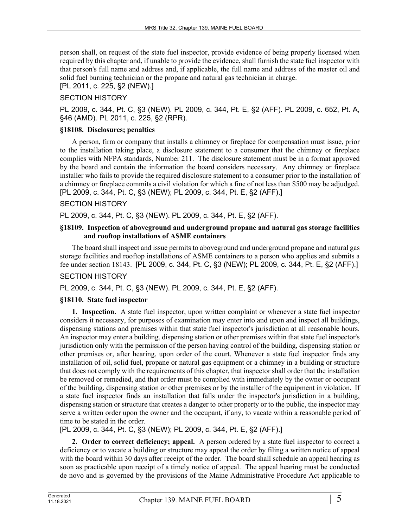person shall, on request of the state fuel inspector, provide evidence of being properly licensed when required by this chapter and, if unable to provide the evidence, shall furnish the state fuel inspector with that person's full name and address and, if applicable, the full name and address of the master oil and solid fuel burning technician or the propane and natural gas technician in charge.

[PL 2011, c. 225, §2 (NEW).]

# SECTION HISTORY

PL 2009, c. 344, Pt. C, §3 (NEW). PL 2009, c. 344, Pt. E, §2 (AFF). PL 2009, c. 652, Pt. A, §46 (AMD). PL 2011, c. 225, §2 (RPR).

# **§18108. Disclosures; penalties**

A person, firm or company that installs a chimney or fireplace for compensation must issue, prior to the installation taking place, a disclosure statement to a consumer that the chimney or fireplace complies with NFPA standards, Number 211. The disclosure statement must be in a format approved by the board and contain the information the board considers necessary. Any chimney or fireplace installer who fails to provide the required disclosure statement to a consumer prior to the installation of a chimney or fireplace commits a civil violation for which a fine of not less than \$500 may be adjudged. [PL 2009, c. 344, Pt. C, §3 (NEW); PL 2009, c. 344, Pt. E, §2 (AFF).]

## SECTION HISTORY

PL 2009, c. 344, Pt. C, §3 (NEW). PL 2009, c. 344, Pt. E, §2 (AFF).

#### **§18109. Inspection of aboveground and underground propane and natural gas storage facilities and rooftop installations of ASME containers**

The board shall inspect and issue permits to aboveground and underground propane and natural gas storage facilities and rooftop installations of ASME containers to a person who applies and submits a fee under section 18143. [PL 2009, c. 344, Pt. C, §3 (NEW); PL 2009, c. 344, Pt. E, §2 (AFF).]

# SECTION HISTORY

PL 2009, c. 344, Pt. C, §3 (NEW). PL 2009, c. 344, Pt. E, §2 (AFF).

#### **§18110. State fuel inspector**

**1. Inspection.** A state fuel inspector, upon written complaint or whenever a state fuel inspector considers it necessary, for purposes of examination may enter into and upon and inspect all buildings, dispensing stations and premises within that state fuel inspector's jurisdiction at all reasonable hours. An inspector may enter a building, dispensing station or other premises within that state fuel inspector's jurisdiction only with the permission of the person having control of the building, dispensing station or other premises or, after hearing, upon order of the court. Whenever a state fuel inspector finds any installation of oil, solid fuel, propane or natural gas equipment or a chimney in a building or structure that does not comply with the requirements of this chapter, that inspector shall order that the installation be removed or remedied, and that order must be complied with immediately by the owner or occupant of the building, dispensing station or other premises or by the installer of the equipment in violation. If a state fuel inspector finds an installation that falls under the inspector's jurisdiction in a building, dispensing station or structure that creates a danger to other property or to the public, the inspector may serve a written order upon the owner and the occupant, if any, to vacate within a reasonable period of time to be stated in the order.

[PL 2009, c. 344, Pt. C, §3 (NEW); PL 2009, c. 344, Pt. E, §2 (AFF).]

**2. Order to correct deficiency; appeal.** A person ordered by a state fuel inspector to correct a deficiency or to vacate a building or structure may appeal the order by filing a written notice of appeal with the board within 30 days after receipt of the order. The board shall schedule an appeal hearing as soon as practicable upon receipt of a timely notice of appeal. The appeal hearing must be conducted de novo and is governed by the provisions of the Maine Administrative Procedure Act applicable to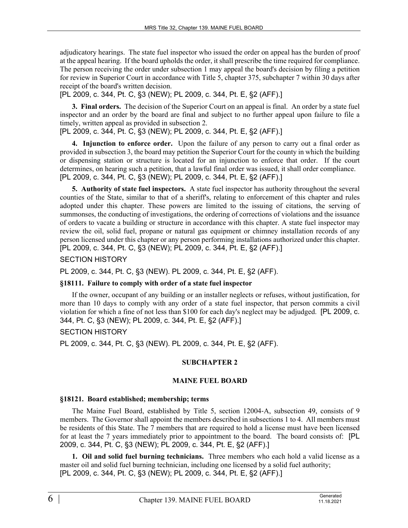adjudicatory hearings. The state fuel inspector who issued the order on appeal has the burden of proof at the appeal hearing. If the board upholds the order, it shall prescribe the time required for compliance. The person receiving the order under subsection 1 may appeal the board's decision by filing a petition for review in Superior Court in accordance with Title 5, chapter 375, subchapter 7 within 30 days after receipt of the board's written decision.

[PL 2009, c. 344, Pt. C, §3 (NEW); PL 2009, c. 344, Pt. E, §2 (AFF).]

**3. Final orders.** The decision of the Superior Court on an appeal is final. An order by a state fuel inspector and an order by the board are final and subject to no further appeal upon failure to file a timely, written appeal as provided in subsection 2.

[PL 2009, c. 344, Pt. C, §3 (NEW); PL 2009, c. 344, Pt. E, §2 (AFF).]

**4. Injunction to enforce order.** Upon the failure of any person to carry out a final order as provided in subsection 3, the board may petition the Superior Court for the county in which the building or dispensing station or structure is located for an injunction to enforce that order. If the court determines, on hearing such a petition, that a lawful final order was issued, it shall order compliance. [PL 2009, c. 344, Pt. C, §3 (NEW); PL 2009, c. 344, Pt. E, §2 (AFF).]

**5. Authority of state fuel inspectors.** A state fuel inspector has authority throughout the several counties of the State, similar to that of a sheriff's, relating to enforcement of this chapter and rules adopted under this chapter. These powers are limited to the issuing of citations, the serving of summonses, the conducting of investigations, the ordering of corrections of violations and the issuance of orders to vacate a building or structure in accordance with this chapter. A state fuel inspector may review the oil, solid fuel, propane or natural gas equipment or chimney installation records of any person licensed under this chapter or any person performing installations authorized under this chapter. [PL 2009, c. 344, Pt. C, §3 (NEW); PL 2009, c. 344, Pt. E, §2 (AFF).]

SECTION HISTORY

PL 2009, c. 344, Pt. C, §3 (NEW). PL 2009, c. 344, Pt. E, §2 (AFF).

# **§18111. Failure to comply with order of a state fuel inspector**

If the owner, occupant of any building or an installer neglects or refuses, without justification, for more than 10 days to comply with any order of a state fuel inspector, that person commits a civil violation for which a fine of not less than \$100 for each day's neglect may be adjudged. [PL 2009, c. 344, Pt. C, §3 (NEW); PL 2009, c. 344, Pt. E, §2 (AFF).]

# SECTION HISTORY

PL 2009, c. 344, Pt. C, §3 (NEW). PL 2009, c. 344, Pt. E, §2 (AFF).

# **SUBCHAPTER 2**

# **MAINE FUEL BOARD**

# **§18121. Board established; membership; terms**

The Maine Fuel Board, established by Title 5, section 12004-A, subsection 49, consists of 9 members. The Governor shall appoint the members described in subsections 1 to 4. All members must be residents of this State. The 7 members that are required to hold a license must have been licensed for at least the 7 years immediately prior to appointment to the board. The board consists of: [PL 2009, c. 344, Pt. C, §3 (NEW); PL 2009, c. 344, Pt. E, §2 (AFF).]

**1. Oil and solid fuel burning technicians.** Three members who each hold a valid license as a master oil and solid fuel burning technician, including one licensed by a solid fuel authority; [PL 2009, c. 344, Pt. C, §3 (NEW); PL 2009, c. 344, Pt. E, §2 (AFF).]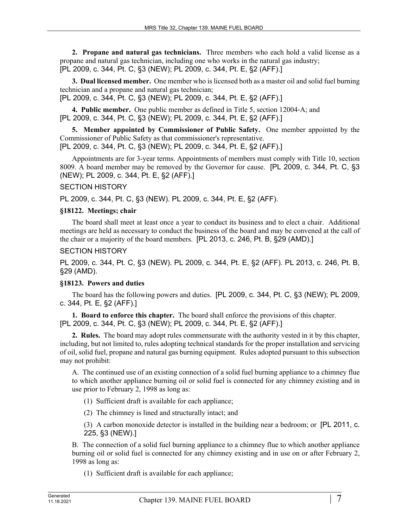**2. Propane and natural gas technicians.** Three members who each hold a valid license as a propane and natural gas technician, including one who works in the natural gas industry; [PL 2009, c. 344, Pt. C, §3 (NEW); PL 2009, c. 344, Pt. E, §2 (AFF).]

**3. Dual licensed member.** One member who is licensed both as a master oil and solid fuel burning technician and a propane and natural gas technician;

[PL 2009, c. 344, Pt. C, §3 (NEW); PL 2009, c. 344, Pt. E, §2 (AFF).]

**4. Public member.** One public member as defined in Title 5, section 12004‑A; and [PL 2009, c. 344, Pt. C, §3 (NEW); PL 2009, c. 344, Pt. E, §2 (AFF).]

**5. Member appointed by Commissioner of Public Safety.** One member appointed by the Commissioner of Public Safety as that commissioner's representative. [PL 2009, c. 344, Pt. C, §3 (NEW); PL 2009, c. 344, Pt. E, §2 (AFF).]

Appointments are for 3-year terms. Appointments of members must comply with Title 10, section 8009. A board member may be removed by the Governor for cause. [PL 2009, c. 344, Pt. C, §3 (NEW); PL 2009, c. 344, Pt. E, §2 (AFF).]

## SECTION HISTORY

PL 2009, c. 344, Pt. C, §3 (NEW). PL 2009, c. 344, Pt. E, §2 (AFF).

## **§18122. Meetings; chair**

The board shall meet at least once a year to conduct its business and to elect a chair. Additional meetings are held as necessary to conduct the business of the board and may be convened at the call of the chair or a majority of the board members. [PL 2013, c. 246, Pt. B, §29 (AMD).]

## SECTION HISTORY

PL 2009, c. 344, Pt. C, §3 (NEW). PL 2009, c. 344, Pt. E, §2 (AFF). PL 2013, c. 246, Pt. B, §29 (AMD).

# **§18123. Powers and duties**

The board has the following powers and duties. [PL 2009, c. 344, Pt. C, §3 (NEW); PL 2009, c. 344, Pt. E, §2 (AFF).]

**1. Board to enforce this chapter.** The board shall enforce the provisions of this chapter. [PL 2009, c. 344, Pt. C, §3 (NEW); PL 2009, c. 344, Pt. E, §2 (AFF).]

**2. Rules.** The board may adopt rules commensurate with the authority vested in it by this chapter, including, but not limited to, rules adopting technical standards for the proper installation and servicing of oil, solid fuel, propane and natural gas burning equipment. Rules adopted pursuant to this subsection may not prohibit:

A. The continued use of an existing connection of a solid fuel burning appliance to a chimney flue to which another appliance burning oil or solid fuel is connected for any chimney existing and in use prior to February 2, 1998 as long as:

(1) Sufficient draft is available for each appliance;

(2) The chimney is lined and structurally intact; and

(3) A carbon monoxide detector is installed in the building near a bedroom; or [PL 2011, c. 225, §3 (NEW).]

B. The connection of a solid fuel burning appliance to a chimney flue to which another appliance burning oil or solid fuel is connected for any chimney existing and in use on or after February 2, 1998 as long as:

(1) Sufficient draft is available for each appliance;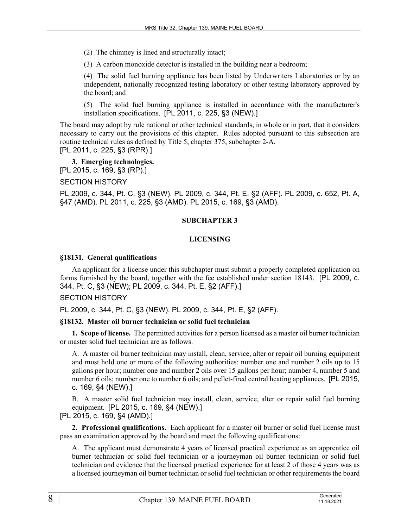(2) The chimney is lined and structurally intact;

(3) A carbon monoxide detector is installed in the building near a bedroom;

(4) The solid fuel burning appliance has been listed by Underwriters Laboratories or by an independent, nationally recognized testing laboratory or other testing laboratory approved by the board; and

(5) The solid fuel burning appliance is installed in accordance with the manufacturer's installation specifications. [PL 2011, c. 225, §3 (NEW).]

The board may adopt by rule national or other technical standards, in whole or in part, that it considers necessary to carry out the provisions of this chapter. Rules adopted pursuant to this subsection are routine technical rules as defined by Title 5, chapter 375, subchapter 2-A.

[PL 2011, c. 225, §3 (RPR).]

**3. Emerging technologies.**  [PL 2015, c. 169, §3 (RP).]

SECTION HISTORY

PL 2009, c. 344, Pt. C, §3 (NEW). PL 2009, c. 344, Pt. E, §2 (AFF). PL 2009, c. 652, Pt. A, §47 (AMD). PL 2011, c. 225, §3 (AMD). PL 2015, c. 169, §3 (AMD).

# **SUBCHAPTER 3**

# **LICENSING**

## **§18131. General qualifications**

An applicant for a license under this subchapter must submit a properly completed application on forms furnished by the board, together with the fee established under section 18143. [PL 2009, c. 344, Pt. C, §3 (NEW); PL 2009, c. 344, Pt. E, §2 (AFF).]

#### SECTION HISTORY

PL 2009, c. 344, Pt. C, §3 (NEW). PL 2009, c. 344, Pt. E, §2 (AFF).

#### **§18132. Master oil burner technician or solid fuel technician**

**1. Scope of license.** The permitted activities for a person licensed as a master oil burner technician or master solid fuel technician are as follows.

A. A master oil burner technician may install, clean, service, alter or repair oil burning equipment and must hold one or more of the following authorities: number one and number 2 oils up to 15 gallons per hour; number one and number 2 oils over 15 gallons per hour; number 4, number 5 and number 6 oils; number one to number 6 oils; and pellet-fired central heating appliances. [PL 2015, c. 169, §4 (NEW).]

B. A master solid fuel technician may install, clean, service, alter or repair solid fuel burning equipment. [PL 2015, c. 169, §4 (NEW).]

[PL 2015, c. 169, §4 (AMD).]

**2. Professional qualifications.** Each applicant for a master oil burner or solid fuel license must pass an examination approved by the board and meet the following qualifications:

A. The applicant must demonstrate 4 years of licensed practical experience as an apprentice oil burner technician or solid fuel technician or a journeyman oil burner technician or solid fuel technician and evidence that the licensed practical experience for at least 2 of those 4 years was as a licensed journeyman oil burner technician or solid fuel technician or other requirements the board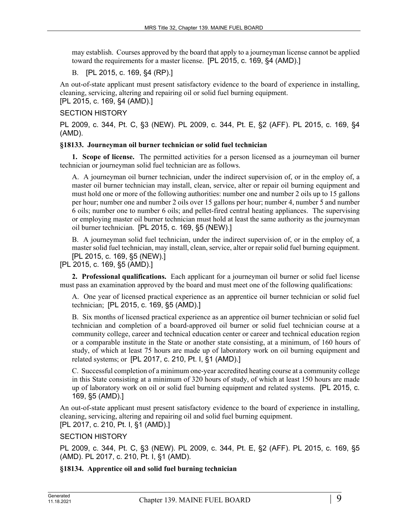may establish. Courses approved by the board that apply to a journeyman license cannot be applied toward the requirements for a master license. [PL 2015, c. 169, §4 (AMD).]

B. [PL 2015, c. 169, §4 (RP).]

An out-of-state applicant must present satisfactory evidence to the board of experience in installing, cleaning, servicing, altering and repairing oil or solid fuel burning equipment. [PL 2015, c. 169, §4 (AMD).]

SECTION HISTORY

PL 2009, c. 344, Pt. C, §3 (NEW). PL 2009, c. 344, Pt. E, §2 (AFF). PL 2015, c. 169, §4 (AMD).

## **§18133. Journeyman oil burner technician or solid fuel technician**

**1. Scope of license.** The permitted activities for a person licensed as a journeyman oil burner technician or journeyman solid fuel technician are as follows.

A. A journeyman oil burner technician, under the indirect supervision of, or in the employ of, a master oil burner technician may install, clean, service, alter or repair oil burning equipment and must hold one or more of the following authorities: number one and number 2 oils up to 15 gallons per hour; number one and number 2 oils over 15 gallons per hour; number 4, number 5 and number 6 oils; number one to number 6 oils; and pellet-fired central heating appliances. The supervising or employing master oil burner technician must hold at least the same authority as the journeyman oil burner technician. [PL 2015, c. 169, §5 (NEW).]

B. A journeyman solid fuel technician, under the indirect supervision of, or in the employ of, a master solid fuel technician, may install, clean, service, alter or repair solid fuel burning equipment. [PL 2015, c. 169, §5 (NEW).]

[PL 2015, c. 169, §5 (AMD).]

**2. Professional qualifications.** Each applicant for a journeyman oil burner or solid fuel license must pass an examination approved by the board and must meet one of the following qualifications:

A. One year of licensed practical experience as an apprentice oil burner technician or solid fuel technician; [PL 2015, c. 169, §5 (AMD).]

B. Six months of licensed practical experience as an apprentice oil burner technician or solid fuel technician and completion of a board-approved oil burner or solid fuel technician course at a community college, career and technical education center or career and technical education region or a comparable institute in the State or another state consisting, at a minimum, of 160 hours of study, of which at least 75 hours are made up of laboratory work on oil burning equipment and related systems; or [PL 2017, c. 210, Pt. I, §1 (AMD).]

C. Successful completion of a minimum one-year accredited heating course at a community college in this State consisting at a minimum of 320 hours of study, of which at least 150 hours are made up of laboratory work on oil or solid fuel burning equipment and related systems. [PL 2015, c. 169, §5 (AMD).]

An out-of-state applicant must present satisfactory evidence to the board of experience in installing, cleaning, servicing, altering and repairing oil and solid fuel burning equipment. [PL 2017, c. 210, Pt. I, §1 (AMD).]

SECTION HISTORY

PL 2009, c. 344, Pt. C, §3 (NEW). PL 2009, c. 344, Pt. E, §2 (AFF). PL 2015, c. 169, §5 (AMD). PL 2017, c. 210, Pt. I, §1 (AMD).

**§18134. Apprentice oil and solid fuel burning technician**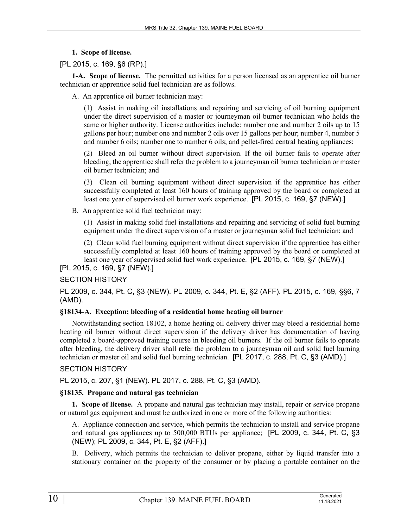- **1. Scope of license.**
- [PL 2015, c. 169, §6 (RP).]

**1-A. Scope of license.** The permitted activities for a person licensed as an apprentice oil burner technician or apprentice solid fuel technician are as follows.

A. An apprentice oil burner technician may:

(1) Assist in making oil installations and repairing and servicing of oil burning equipment under the direct supervision of a master or journeyman oil burner technician who holds the same or higher authority. License authorities include: number one and number 2 oils up to 15 gallons per hour; number one and number 2 oils over 15 gallons per hour; number 4, number 5 and number 6 oils; number one to number 6 oils; and pellet-fired central heating appliances;

(2) Bleed an oil burner without direct supervision. If the oil burner fails to operate after bleeding, the apprentice shall refer the problem to a journeyman oil burner technician or master oil burner technician; and

(3) Clean oil burning equipment without direct supervision if the apprentice has either successfully completed at least 160 hours of training approved by the board or completed at least one year of supervised oil burner work experience. [PL 2015, c. 169, §7 (NEW).]

B. An apprentice solid fuel technician may:

(1) Assist in making solid fuel installations and repairing and servicing of solid fuel burning equipment under the direct supervision of a master or journeyman solid fuel technician; and

(2) Clean solid fuel burning equipment without direct supervision if the apprentice has either successfully completed at least 160 hours of training approved by the board or completed at least one year of supervised solid fuel work experience. [PL 2015, c. 169, §7 (NEW).]

[PL 2015, c. 169, §7 (NEW).]

# SECTION HISTORY

PL 2009, c. 344, Pt. C, §3 (NEW). PL 2009, c. 344, Pt. E, §2 (AFF). PL 2015, c. 169, §§6, 7 (AMD).

# **§18134-A. Exception; bleeding of a residential home heating oil burner**

Notwithstanding section 18102, a home heating oil delivery driver may bleed a residential home heating oil burner without direct supervision if the delivery driver has documentation of having completed a board-approved training course in bleeding oil burners. If the oil burner fails to operate after bleeding, the delivery driver shall refer the problem to a journeyman oil and solid fuel burning technician or master oil and solid fuel burning technician. [PL 2017, c. 288, Pt. C, §3 (AMD).]

# SECTION HISTORY

PL 2015, c. 207, §1 (NEW). PL 2017, c. 288, Pt. C, §3 (AMD).

# **§18135. Propane and natural gas technician**

**1. Scope of license.** A propane and natural gas technician may install, repair or service propane or natural gas equipment and must be authorized in one or more of the following authorities:

A. Appliance connection and service, which permits the technician to install and service propane and natural gas appliances up to 500,000 BTUs per appliance; [PL 2009, c. 344, Pt. C, §3 (NEW); PL 2009, c. 344, Pt. E, §2 (AFF).]

B. Delivery, which permits the technician to deliver propane, either by liquid transfer into a stationary container on the property of the consumer or by placing a portable container on the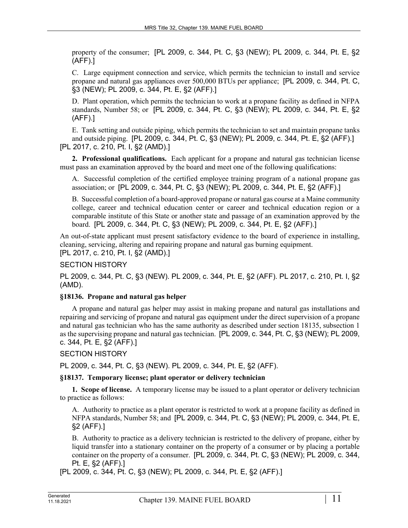property of the consumer; [PL 2009, c. 344, Pt. C, §3 (NEW); PL 2009, c. 344, Pt. E, §2 (AFF).]

C. Large equipment connection and service, which permits the technician to install and service propane and natural gas appliances over 500,000 BTUs per appliance; [PL 2009, c. 344, Pt. C, §3 (NEW); PL 2009, c. 344, Pt. E, §2 (AFF).]

D. Plant operation, which permits the technician to work at a propane facility as defined in NFPA standards, Number 58; or [PL 2009, c. 344, Pt. C, §3 (NEW); PL 2009, c. 344, Pt. E, §2 (AFF).]

E. Tank setting and outside piping, which permits the technician to set and maintain propane tanks and outside piping. [PL 2009, c. 344, Pt. C, §3 (NEW); PL 2009, c. 344, Pt. E, §2 (AFF).] [PL 2017, c. 210, Pt. I, §2 (AMD).]

**2. Professional qualifications.** Each applicant for a propane and natural gas technician license must pass an examination approved by the board and meet one of the following qualifications:

A. Successful completion of the certified employee training program of a national propane gas association; or [PL 2009, c. 344, Pt. C, §3 (NEW); PL 2009, c. 344, Pt. E, §2 (AFF).]

B. Successful completion of a board-approved propane or natural gas course at a Maine community college, career and technical education center or career and technical education region or a comparable institute of this State or another state and passage of an examination approved by the board. [PL 2009, c. 344, Pt. C, §3 (NEW); PL 2009, c. 344, Pt. E, §2 (AFF).]

An out-of-state applicant must present satisfactory evidence to the board of experience in installing, cleaning, servicing, altering and repairing propane and natural gas burning equipment. [PL 2017, c. 210, Pt. I, §2 (AMD).]

SECTION HISTORY

PL 2009, c. 344, Pt. C, §3 (NEW). PL 2009, c. 344, Pt. E, §2 (AFF). PL 2017, c. 210, Pt. I, §2 (AMD).

#### **§18136. Propane and natural gas helper**

A propane and natural gas helper may assist in making propane and natural gas installations and repairing and servicing of propane and natural gas equipment under the direct supervision of a propane and natural gas technician who has the same authority as described under section 18135, subsection 1 as the supervising propane and natural gas technician. [PL 2009, c. 344, Pt. C, §3 (NEW); PL 2009, c. 344, Pt. E, §2 (AFF).]

SECTION HISTORY

PL 2009, c. 344, Pt. C, §3 (NEW). PL 2009, c. 344, Pt. E, §2 (AFF).

# **§18137. Temporary license; plant operator or delivery technician**

**1. Scope of license.** A temporary license may be issued to a plant operator or delivery technician to practice as follows:

A. Authority to practice as a plant operator is restricted to work at a propane facility as defined in NFPA standards, Number 58; and [PL 2009, c. 344, Pt. C, §3 (NEW); PL 2009, c. 344, Pt. E, §2 (AFF).]

B. Authority to practice as a delivery technician is restricted to the delivery of propane, either by liquid transfer into a stationary container on the property of a consumer or by placing a portable container on the property of a consumer. [PL 2009, c. 344, Pt. C, §3 (NEW); PL 2009, c. 344, Pt. E, §2 (AFF).]

[PL 2009, c. 344, Pt. C, §3 (NEW); PL 2009, c. 344, Pt. E, §2 (AFF).]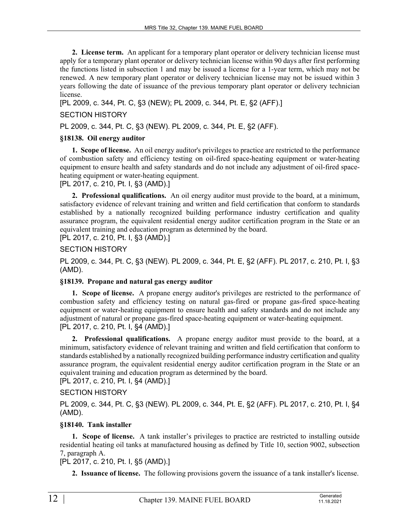**2. License term.** An applicant for a temporary plant operator or delivery technician license must apply for a temporary plant operator or delivery technician license within 90 days after first performing the functions listed in subsection 1 and may be issued a license for a 1-year term, which may not be renewed. A new temporary plant operator or delivery technician license may not be issued within 3 years following the date of issuance of the previous temporary plant operator or delivery technician license.

[PL 2009, c. 344, Pt. C, §3 (NEW); PL 2009, c. 344, Pt. E, §2 (AFF).]

# SECTION HISTORY

PL 2009, c. 344, Pt. C, §3 (NEW). PL 2009, c. 344, Pt. E, §2 (AFF).

# **§18138. Oil energy auditor**

**1. Scope of license.** An oil energy auditor's privileges to practice are restricted to the performance of combustion safety and efficiency testing on oil-fired space-heating equipment or water-heating equipment to ensure health and safety standards and do not include any adjustment of oil-fired spaceheating equipment or water-heating equipment.

[PL 2017, c. 210, Pt. I, §3 (AMD).]

**2. Professional qualifications.** An oil energy auditor must provide to the board, at a minimum, satisfactory evidence of relevant training and written and field certification that conform to standards established by a nationally recognized building performance industry certification and quality assurance program, the equivalent residential energy auditor certification program in the State or an equivalent training and education program as determined by the board.

[PL 2017, c. 210, Pt. I, §3 (AMD).]

# SECTION HISTORY

PL 2009, c. 344, Pt. C, §3 (NEW). PL 2009, c. 344, Pt. E, §2 (AFF). PL 2017, c. 210, Pt. I, §3 (AMD).

# **§18139. Propane and natural gas energy auditor**

**1. Scope of license.** A propane energy auditor's privileges are restricted to the performance of combustion safety and efficiency testing on natural gas-fired or propane gas-fired space-heating equipment or water-heating equipment to ensure health and safety standards and do not include any adjustment of natural or propane gas-fired space-heating equipment or water-heating equipment. [PL 2017, c. 210, Pt. I, §4 (AMD).]

**2. Professional qualifications.** A propane energy auditor must provide to the board, at a minimum, satisfactory evidence of relevant training and written and field certification that conform to standards established by a nationally recognized building performance industry certification and quality assurance program, the equivalent residential energy auditor certification program in the State or an equivalent training and education program as determined by the board.

# [PL 2017, c. 210, Pt. I, §4 (AMD).]

# SECTION HISTORY

PL 2009, c. 344, Pt. C, §3 (NEW). PL 2009, c. 344, Pt. E, §2 (AFF). PL 2017, c. 210, Pt. I, §4 (AMD).

# **§18140. Tank installer**

**1. Scope of license.** A tank installer's privileges to practice are restricted to installing outside residential heating oil tanks at manufactured housing as defined by Title 10, section 9002, subsection 7, paragraph A.

[PL 2017, c. 210, Pt. I, §5 (AMD).]

**2. Issuance of license.** The following provisions govern the issuance of a tank installer's license.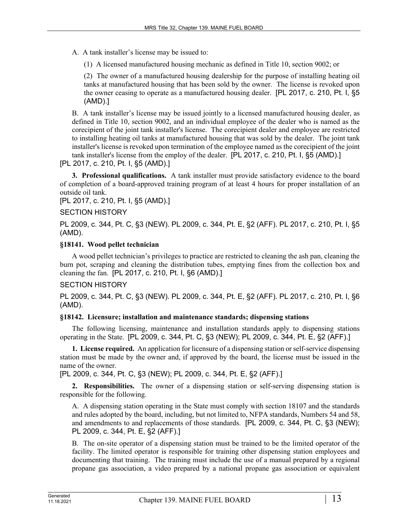A. A tank installer's license may be issued to:

(1) A licensed manufactured housing mechanic as defined in Title 10, section 9002; or

(2) The owner of a manufactured housing dealership for the purpose of installing heating oil tanks at manufactured housing that has been sold by the owner. The license is revoked upon the owner ceasing to operate as a manufactured housing dealer. [PL 2017, c. 210, Pt. I, §5 (AMD).]

B. A tank installer's license may be issued jointly to a licensed manufactured housing dealer, as defined in Title 10, section 9002, and an individual employee of the dealer who is named as the corecipient of the joint tank installer's license. The corecipient dealer and employee are restricted to installing heating oil tanks at manufactured housing that was sold by the dealer. The joint tank installer's license is revoked upon termination of the employee named as the corecipient of the joint tank installer's license from the employ of the dealer. [PL 2017, c. 210, Pt. I, §5 (AMD).]

[PL 2017, c. 210, Pt. I, §5 (AMD).]

**3. Professional qualifications.** A tank installer must provide satisfactory evidence to the board of completion of a board-approved training program of at least 4 hours for proper installation of an outside oil tank.

[PL 2017, c. 210, Pt. I, §5 (AMD).]

## SECTION HISTORY

PL 2009, c. 344, Pt. C, §3 (NEW). PL 2009, c. 344, Pt. E, §2 (AFF). PL 2017, c. 210, Pt. I, §5 (AMD).

#### **§18141. Wood pellet technician**

A wood pellet technician's privileges to practice are restricted to cleaning the ash pan, cleaning the burn pot, scraping and cleaning the distribution tubes, emptying fines from the collection box and cleaning the fan. [PL 2017, c. 210, Pt. I, §6 (AMD).]

# SECTION HISTORY

PL 2009, c. 344, Pt. C, §3 (NEW). PL 2009, c. 344, Pt. E, §2 (AFF). PL 2017, c. 210, Pt. I, §6 (AMD).

# **§18142. Licensure; installation and maintenance standards; dispensing stations**

The following licensing, maintenance and installation standards apply to dispensing stations operating in the State. [PL 2009, c. 344, Pt. C, §3 (NEW); PL 2009, c. 344, Pt. E, §2 (AFF).]

**1. License required.** An application for licensure of a dispensing station or self-service dispensing station must be made by the owner and, if approved by the board, the license must be issued in the name of the owner.

[PL 2009, c. 344, Pt. C, §3 (NEW); PL 2009, c. 344, Pt. E, §2 (AFF).]

**2. Responsibilities.** The owner of a dispensing station or self-serving dispensing station is responsible for the following.

A. A dispensing station operating in the State must comply with section 18107 and the standards and rules adopted by the board, including, but not limited to, NFPA standards, Numbers 54 and 58, and amendments to and replacements of those standards. [PL 2009, c. 344, Pt. C, §3 (NEW); PL 2009, c. 344, Pt. E, §2 (AFF).]

B. The on-site operator of a dispensing station must be trained to be the limited operator of the facility. The limited operator is responsible for training other dispensing station employees and documenting that training. The training must include the use of a manual prepared by a regional propane gas association, a video prepared by a national propane gas association or equivalent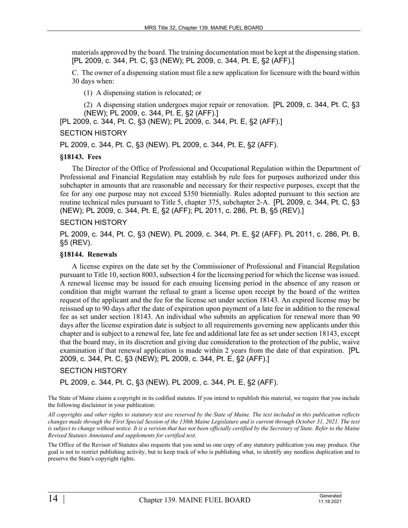materials approved by the board. The training documentation must be kept at the dispensing station. [PL 2009, c. 344, Pt. C, §3 (NEW); PL 2009, c. 344, Pt. E, §2 (AFF).]

C. The owner of a dispensing station must file a new application for licensure with the board within 30 days when:

(1) A dispensing station is relocated; or

(2) A dispensing station undergoes major repair or renovation. [PL 2009, c. 344, Pt. C, §3 (NEW); PL 2009, c. 344, Pt. E, §2 (AFF).]

[PL 2009, c. 344, Pt. C, §3 (NEW); PL 2009, c. 344, Pt. E, §2 (AFF).]

#### SECTION HISTORY

PL 2009, c. 344, Pt. C, §3 (NEW). PL 2009, c. 344, Pt. E, §2 (AFF).

#### **§18143. Fees**

The Director of the Office of Professional and Occupational Regulation within the Department of Professional and Financial Regulation may establish by rule fees for purposes authorized under this subchapter in amounts that are reasonable and necessary for their respective purposes, except that the fee for any one purpose may not exceed \$350 biennially. Rules adopted pursuant to this section are routine technical rules pursuant to Title 5, chapter 375, subchapter 2‑A. [PL 2009, c. 344, Pt. C, §3 (NEW); PL 2009, c. 344, Pt. E, §2 (AFF); PL 2011, c. 286, Pt. B, §5 (REV).]

#### SECTION HISTORY

PL 2009, c. 344, Pt. C, §3 (NEW). PL 2009, c. 344, Pt. E, §2 (AFF). PL 2011, c. 286, Pt. B, §5 (REV).

#### **§18144. Renewals**

A license expires on the date set by the Commissioner of Professional and Financial Regulation pursuant to Title 10, section 8003, subsection 4 for the licensing period for which the license was issued. A renewal license may be issued for each ensuing licensing period in the absence of any reason or condition that might warrant the refusal to grant a license upon receipt by the board of the written request of the applicant and the fee for the license set under section 18143. An expired license may be reissued up to 90 days after the date of expiration upon payment of a late fee in addition to the renewal fee as set under section 18143. An individual who submits an application for renewal more than 90 days after the license expiration date is subject to all requirements governing new applicants under this chapter and is subject to a renewal fee, late fee and additional late fee as set under section 18143, except that the board may, in its discretion and giving due consideration to the protection of the public, waive examination if that renewal application is made within 2 years from the date of that expiration. [PL 2009, c. 344, Pt. C, §3 (NEW); PL 2009, c. 344, Pt. E, §2 (AFF).]

#### SECTION HISTORY

PL 2009, c. 344, Pt. C, §3 (NEW). PL 2009, c. 344, Pt. E, §2 (AFF).

The State of Maine claims a copyright in its codified statutes. If you intend to republish this material, we require that you include the following disclaimer in your publication:

*All copyrights and other rights to statutory text are reserved by the State of Maine. The text included in this publication reflects changes made through the First Special Session of the 130th Maine Legislature and is current through October 31, 2021. The text*  is subject to change without notice. It is a version that has not been officially certified by the Secretary of State. Refer to the Maine *Revised Statutes Annotated and supplements for certified text.*

The Office of the Revisor of Statutes also requests that you send us one copy of any statutory publication you may produce. Our goal is not to restrict publishing activity, but to keep track of who is publishing what, to identify any needless duplication and to preserve the State's copyright rights.